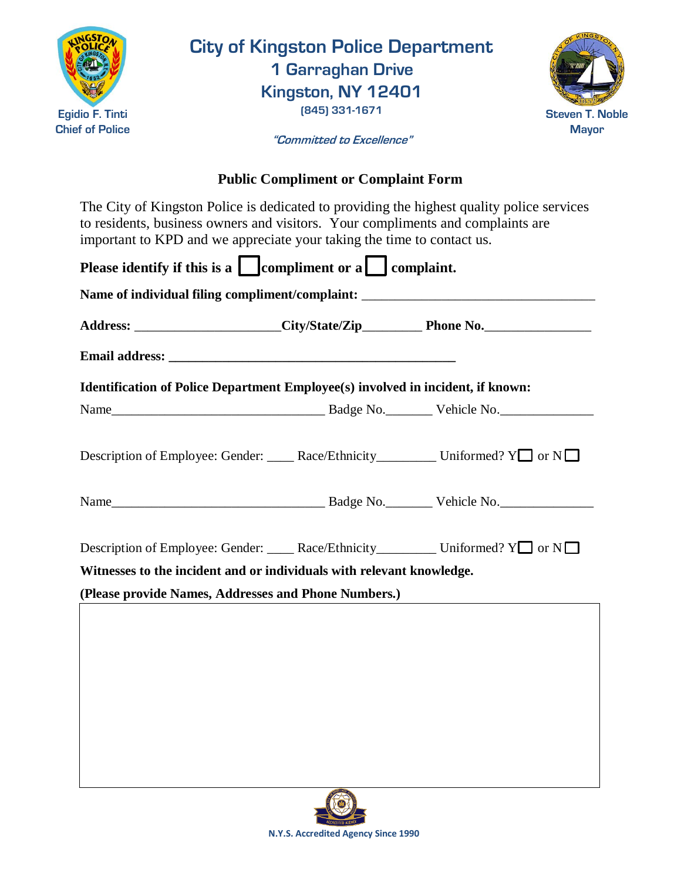

**City of Kingston Police Department 1 Garraghan Drive**

**Kingston, NY 12401 (845) 331-1671**



**"Committed to Excellence"**

## **Public Compliment or Complaint Form**

The City of Kingston Police is dedicated to providing the highest quality police services to residents, business owners and visitors. Your compliments and complaints are important to KPD and we appreciate your taking the time to contact us.

| Please identify if this is a $\Box$ compliment or a $\Box$ complaint.               |  |  |
|-------------------------------------------------------------------------------------|--|--|
|                                                                                     |  |  |
|                                                                                     |  |  |
| Identification of Police Department Employee(s) involved in incident, if known:     |  |  |
|                                                                                     |  |  |
| Description of Employee: Gender: _____ Race/Ethnicity__________ Uniformed? Y□ or N□ |  |  |
|                                                                                     |  |  |
| Description of Employee: Gender: _____ Race/Ethnicity__________ Uniformed? Y or N   |  |  |
| Witnesses to the incident and or individuals with relevant knowledge.               |  |  |
| (Please provide Names, Addresses and Phone Numbers.)                                |  |  |
|                                                                                     |  |  |
|                                                                                     |  |  |
|                                                                                     |  |  |
|                                                                                     |  |  |
|                                                                                     |  |  |